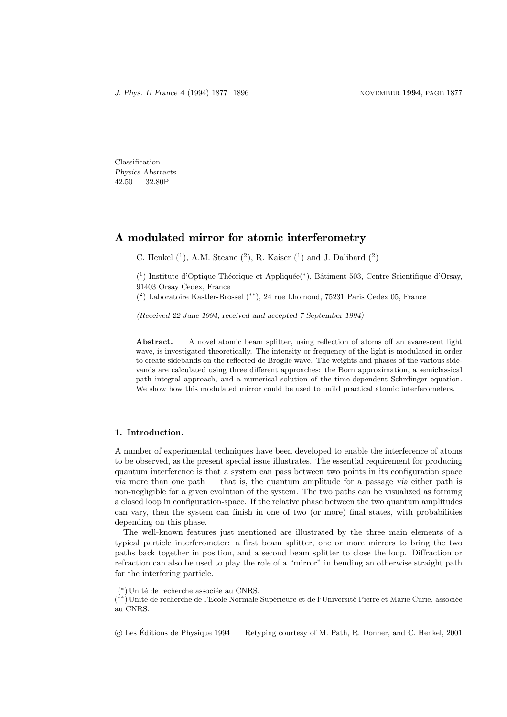Classification Physics Abstracts  $42.50 - 32.80P$ 

# A modulated mirror for atomic interferometry

C. Henkel  $(1)$ , A.M. Steane  $(2)$ , R. Kaiser  $(1)$  and J. Dalibard  $(2)$ 

(<sup>1</sup>) Institute d'Optique Théorique et Appliquée(\*), Bâtiment 503, Centre Scientifique d'Orsay, 91403 Orsay Cedex, France

( 2 ) Laboratoire Kastler-Brossel (∗∗), 24 rue Lhomond, 75231 Paris Cedex 05, France

(Received 22 June 1994, received and accepted 7 September 1994)

Abstract.  $- A$  novel atomic beam splitter, using reflection of atoms off an evanescent light wave, is investigated theoretically. The intensity or frequency of the light is modulated in order to create sidebands on the reflected de Broglie wave. The weights and phases of the various sidevands are calculated using three different approaches: the Born approximation, a semiclassical path integral approach, and a numerical solution of the time-dependent Schrdinger equation. We show how this modulated mirror could be used to build practical atomic interferometers.

## 1. Introduction.

A number of experimental techniques have been developed to enable the interference of atoms to be observed, as the present special issue illustrates. The essential requirement for producing quantum interference is that a system can pass between two points in its configuration space via more than one path — that is, the quantum amplitude for a passage via either path is non-negligible for a given evolution of the system. The two paths can be visualized as forming a closed loop in configuration-space. If the relative phase between the two quantum amplitudes can vary, then the system can finish in one of two (or more) final states, with probabilities depending on this phase.

The well-known features just mentioned are illustrated by the three main elements of a typical particle interferometer: a first beam splitter, one or more mirrors to bring the two paths back together in position, and a second beam splitter to close the loop. Diffraction or refraction can also be used to play the role of a "mirror" in bending an otherwise straight path for the interfering particle.

<sup>&</sup>lt;sup>(\*)</sup> Unité de recherche associée au CNRS.

<sup>(\*\*)</sup> Unité de recherche de l'Ecole Normale Supérieure et de l'Université Pierre et Marie Curie, associée au CNRS.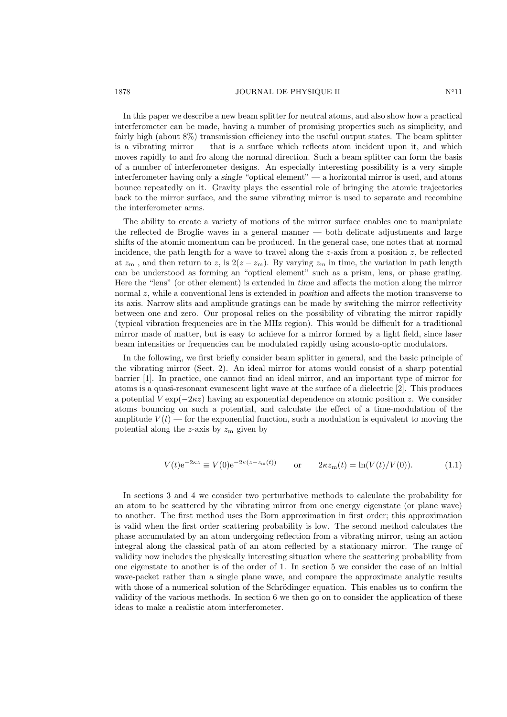In this paper we describe a new beam splitter for neutral atoms, and also show how a practical interferometer can be made, having a number of promising properties such as simplicity, and fairly high (about 8%) transmission efficiency into the useful output states. The beam splitter is a vibrating mirror  $-$  that is a surface which reflects atom incident upon it, and which moves rapidly to and fro along the normal direction. Such a beam splitter can form the basis of a number of interferometer designs. An especially interesting possibility is a very simple interferometer having only a single "optical element" — a horizontal mirror is used, and atoms bounce repeatedly on it. Gravity plays the essential role of bringing the atomic trajectories back to the mirror surface, and the same vibrating mirror is used to separate and recombine the interferometer arms.

The ability to create a variety of motions of the mirror surface enables one to manipulate the reflected de Broglie waves in a general manner — both delicate adjustments and large shifts of the atomic momentum can be produced. In the general case, one notes that at normal incidence, the path length for a wave to travel along the z-axis from a position  $z$ , be reflected at  $z_m$ , and then return to z, is  $2(z - z_m)$ . By varying  $z_m$  in time, the variation in path length can be understood as forming an "optical element" such as a prism, lens, or phase grating. Here the "lens" (or other element) is extended in time and affects the motion along the mirror normal  $z$ , while a conventional lens is extended in position and affects the motion transverse to its axis. Narrow slits and amplitude gratings can be made by switching the mirror reflectivity between one and zero. Our proposal relies on the possibility of vibrating the mirror rapidly (typical vibration frequencies are in the MHz region). This would be difficult for a traditional mirror made of matter, but is easy to achieve for a mirror formed by a light field, since laser beam intensities or frequencies can be modulated rapidly using acousto-optic modulators.

In the following, we first briefly consider beam splitter in general, and the basic principle of the vibrating mirror (Sect. 2). An ideal mirror for atoms would consist of a sharp potential barrier [1]. In practice, one cannot find an ideal mirror, and an important type of mirror for atoms is a quasi-resonant evanescent light wave at the surface of a dielectric [2]. This produces a potential  $V \exp(-2\kappa z)$  having an exponential dependence on atomic position z. We consider atoms bouncing on such a potential, and calculate the effect of a time-modulation of the amplitude  $V(t)$  — for the exponential function, such a modulation is equivalent to moving the potential along the z-axis by  $z<sub>m</sub>$  given by

$$
V(t)e^{-2\kappa z} \equiv V(0)e^{-2\kappa(z-z_m(t))} \qquad \text{or} \qquad 2\kappa z_m(t) = \ln(V(t)/V(0)). \tag{1.1}
$$

In sections 3 and 4 we consider two perturbative methods to calculate the probability for an atom to be scattered by the vibrating mirror from one energy eigenstate (or plane wave) to another. The first method uses the Born approximation in first order; this approximation is valid when the first order scattering probability is low. The second method calculates the phase accumulated by an atom undergoing reflection from a vibrating mirror, using an action integral along the classical path of an atom reflected by a stationary mirror. The range of validity now includes the physically interesting situation where the scattering probability from one eigenstate to another is of the order of 1. In section 5 we consider the case of an initial wave-packet rather than a single plane wave, and compare the approximate analytic results with those of a numerical solution of the Schrödinger equation. This enables us to confirm the validity of the various methods. In section 6 we then go on to consider the application of these ideas to make a realistic atom interferometer.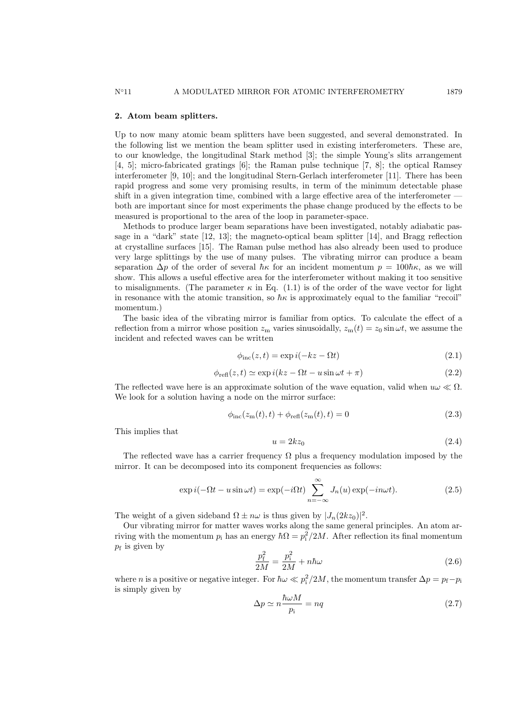## 2. Atom beam splitters.

Up to now many atomic beam splitters have been suggested, and several demonstrated. In the following list we mention the beam splitter used in existing interferometers. These are, to our knowledge, the longitudinal Stark method [3]; the simple Young's slits arrangement [4, 5]; micro-fabricated gratings [6]; the Raman pulse technique [7, 8]; the optical Ramsey interferometer [9, 10]; and the longitudinal Stern-Gerlach interferometer [11]. There has been rapid progress and some very promising results, in term of the minimum detectable phase shift in a given integration time, combined with a large effective area of the interferometer  $$ both are important since for most experiments the phase change produced by the effects to be measured is proportional to the area of the loop in parameter-space.

Methods to produce larger beam separations have been investigated, notably adiabatic passage in a "dark" state [12, 13]; the magneto-optical beam splitter [14], and Bragg reflection at crystalline surfaces [15]. The Raman pulse method has also already been used to produce very large splittings by the use of many pulses. The vibrating mirror can produce a beam separation  $\Delta p$  of the order of several  $\hbar \kappa$  for an incident momentum  $p = 100\hbar \kappa$ , as we will show. This allows a useful effective area for the interferometer without making it too sensitive to misalignments. (The parameter  $\kappa$  in Eq. (1.1) is of the order of the wave vector for light in resonance with the atomic transition, so  $\hbar \kappa$  is approximately equal to the familiar "recoil" momentum.)

The basic idea of the vibrating mirror is familiar from optics. To calculate the effect of a reflection from a mirror whose position  $z_m$  varies sinusoidally,  $z_m(t) = z_0 \sin \omega t$ , we assume the incident and refected waves can be written

$$
\phi_{\rm inc}(z,t) = \exp i(-kz - \Omega t) \tag{2.1}
$$

$$
\phi_{refl}(z,t) \simeq \exp i(kz - \Omega t - u\sin\omega t + \pi) \tag{2.2}
$$

The reflected wave here is an approximate solution of the wave equation, valid when  $u\omega \ll \Omega$ . We look for a solution having a node on the mirror surface:

$$
\phi_{\rm inc}(z_{\rm m}(t), t) + \phi_{\rm refl}(z_{\rm m}(t), t) = 0 \tag{2.3}
$$

This implies that

$$
u = 2kz_0 \tag{2.4}
$$

The reflected wave has a carrier frequency  $\Omega$  plus a frequency modulation imposed by the mirror. It can be decomposed into its component frequencies as follows:

$$
\exp i(-\Omega t - u\sin\omega t) = \exp(-i\Omega t) \sum_{n=-\infty}^{\infty} J_n(u) \exp(-in\omega t).
$$
 (2.5)

The weight of a given sideband  $\Omega \pm n\omega$  is thus given by  $|J_n(2kz_0)|^2$ .

Our vibrating mirror for matter waves works along the same general principles. An atom arriving with the momentum  $p_i$  has an energy  $\hbar\Omega = p_i^2/2M$ . After reflection its final momentum  $p_f$  is given by

$$
\frac{p_{\rm f}^2}{2M} = \frac{p_{\rm i}^2}{2M} + n\hbar\omega\tag{2.6}
$$

where *n* is a positive or negative integer. For  $\hbar \omega \ll p_i^2/2M$ , the momentum transfer  $\Delta p = p_f - p_i$ is simply given by

$$
\Delta p \simeq n \frac{\hbar \omega M}{p_i} = nq \tag{2.7}
$$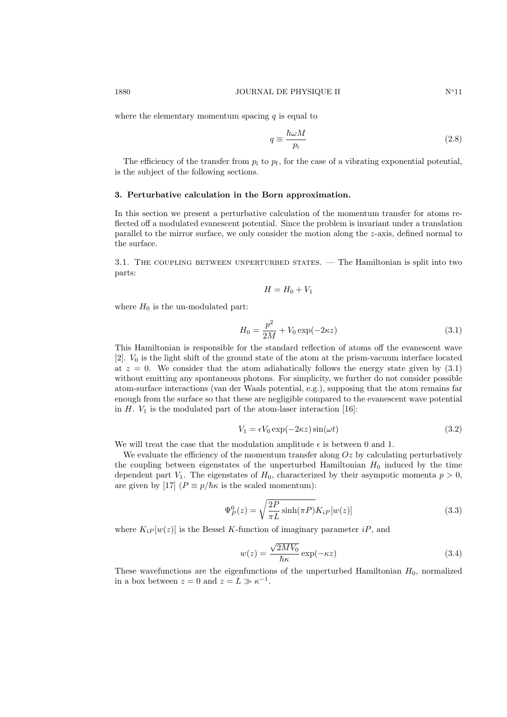where the elementary momentum spacing  $q$  is equal to

$$
q \equiv \frac{\hbar \omega M}{p_i} \tag{2.8}
$$

The efficiency of the transfer from  $p_i$  to  $p_f$ , for the case of a vibrating exponential potential, is the subject of the following sections.

#### 3. Perturbative calculation in the Born approximation.

In this section we present a perturbative calculation of the momentum transfer for atoms reflected off a modulated evanescent potential. Since the problem is invariant under a translation parallel to the mirror surface, we only consider the motion along the  $z$ -axis, defined normal to the surface.

3.1. THE COUPLING BETWEEN UNPERTURBED STATES. — The Hamiltonian is split into two parts:

$$
H = H_0 + V_1
$$

where  $H_0$  is the un-modulated part:

$$
H_0 = \frac{p^2}{2M} + V_0 \exp(-2\kappa z)
$$
\n(3.1)

This Hamiltonian is responsible for the standard reflection of atoms off the evanescent wave  $[2]$ .  $V_0$  is the light shift of the ground state of the atom at the prism-vacuum interface located at  $z = 0$ . We consider that the atom adiabatically follows the energy state given by  $(3.1)$ without emitting any spontaneous photons. For simplicity, we further do not consider possible atom-surface interactions (van der Waals potential, e.g.), supposing that the atom remains far enough from the surface so that these are negligible compared to the evanescent wave potential in  $H$ .  $V_1$  is the modulated part of the atom-laser interaction [16]:

$$
V_1 = \epsilon V_0 \exp(-2\kappa z) \sin(\omega t) \tag{3.2}
$$

We will treat the case that the modulation amplitude  $\epsilon$  is between 0 and 1.

We evaluate the efficiency of the momentum transfer along  $Oz$  by calculating perturbatively the coupling between eigenstates of the unperturbed Hamiltonian  $H_0$  induced by the time dependent part  $V_1$ . The eigenstates of  $H_0$ , characterized by their asympotic momenta  $p > 0$ , are given by [17]  $(P \equiv p/\hbar \kappa)$  is the scaled momentum):

$$
\Psi_P^0(z) = \sqrt{\frac{2P}{\pi L} \sinh(\pi P)} K_{iP}[w(z)] \tag{3.3}
$$

where  $K_i P[w(z)]$  is the Bessel K-function of imaginary parameter iP, and

$$
w(z) = \frac{\sqrt{2MV_0}}{\hbar \kappa} \exp(-\kappa z)
$$
\n(3.4)

These wavefunctions are the eigenfunctions of the unperturbed Hamiltonian  $H_0$ , normalized in a box between  $z = 0$  and  $z = L \gg \kappa^{-1}$ .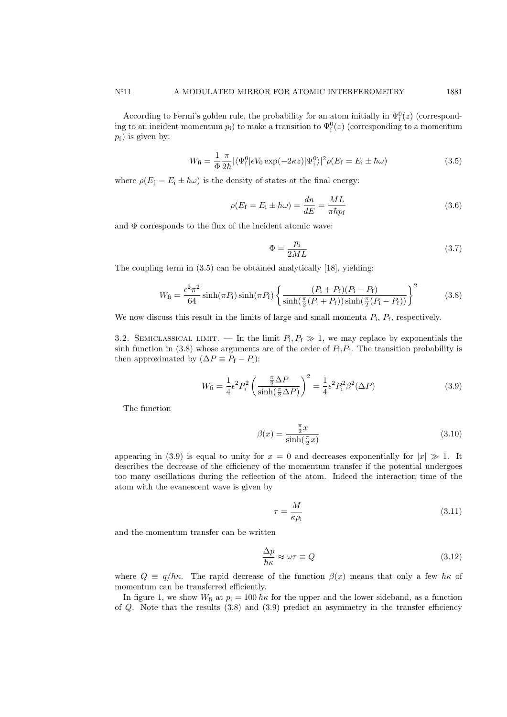According to Fermi's golden rule, the probability for an atom initially in  $\Psi_i^0(z)$  (corresponding to an incident momentum  $p_i$ ) to make a transition to  $\Psi_f^0(z)$  (corresponding to a momentum  $p_f$ ) is given by:

$$
W_{\rm fi} = \frac{1}{\Phi} \frac{\pi}{2\hbar} |\langle \Psi_{\rm f}^0 | \epsilon V_0 \exp(-2\kappa z) | \Psi_{\rm i}^0 \rangle|^2 \rho(E_{\rm f} = E_{\rm i} \pm \hbar \omega)
$$
 (3.5)

where  $\rho(E_f = E_i \pm \hbar \omega)$  is the density of states at the final energy:

$$
\rho(E_{\rm f} = E_{\rm i} \pm \hbar \omega) = \frac{dn}{dE} = \frac{ML}{\pi \hbar p_{\rm f}}
$$
\n(3.6)

and  $\Phi$  corresponds to the flux of the incident atomic wave:

$$
\Phi = \frac{p_i}{2ML} \tag{3.7}
$$

The coupling term in (3.5) can be obtained analytically [18], yielding:

$$
W_{\rm fi} = \frac{\epsilon^2 \pi^2}{64} \sinh(\pi P_{\rm i}) \sinh(\pi P_{\rm f}) \left\{ \frac{(P_{\rm i} + P_{\rm f})(P_{\rm i} - P_{\rm f})}{\sinh(\frac{\pi}{2}(P_{\rm i} + P_{\rm f})) \sinh(\frac{\pi}{2}(P_{\rm i} - P_{\rm f}))} \right\}^2 \tag{3.8}
$$

We now discuss this result in the limits of large and small momenta  $P_i$ ,  $P_f$ , respectively.

3.2. SEMICLASSICAL LIMIT. — In the limit  $P_i, P_f \gg 1$ , we may replace by exponentials the sinh function in (3.8) whose arguments are of the order of  $P_i, P_f$ . The transition probability is then approximated by  $(\Delta P \equiv P_f - P_i)$ :

$$
W_{\rm fi} = \frac{1}{4} \epsilon^2 P_{\rm i}^2 \left( \frac{\frac{\pi}{2} \Delta P}{\sinh(\frac{\pi}{2} \Delta P)} \right)^2 = \frac{1}{4} \epsilon^2 P_{\rm i}^2 \beta^2 (\Delta P) \tag{3.9}
$$

The function

$$
\beta(x) = \frac{\frac{\pi}{2}x}{\sinh(\frac{\pi}{2}x)}\tag{3.10}
$$

appearing in (3.9) is equal to unity for  $x = 0$  and decreases exponentially for  $|x| \gg 1$ . It describes the decrease of the efficiency of the momentum transfer if the potential undergoes too many oscillations during the reflection of the atom. Indeed the interaction time of the atom with the evanescent wave is given by

$$
\tau = \frac{M}{\kappa p_{\rm i}}\tag{3.11}
$$

and the momentum transfer can be written

$$
\frac{\Delta p}{\hbar \kappa} \approx \omega \tau \equiv Q \tag{3.12}
$$

where  $Q = q/\hbar \kappa$ . The rapid decrease of the function  $\beta(x)$  means that only a few  $\hbar \kappa$  of momentum can be transferred efficiently.

In figure 1, we show  $W_f$  at  $p_i = 100 \hbar \kappa$  for the upper and the lower sideband, as a function of  $Q$ . Note that the results  $(3.8)$  and  $(3.9)$  predict an asymmetry in the transfer efficiency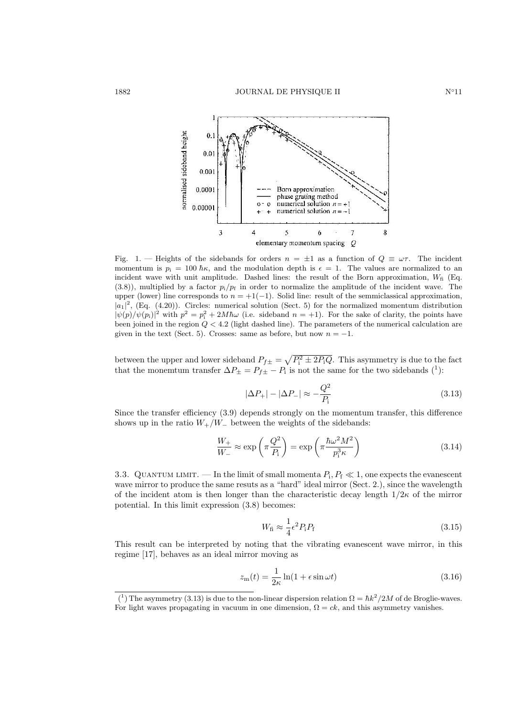

Fig. 1. — Heights of the sidebands for orders  $n = \pm 1$  as a function of  $Q \equiv \omega \tau$ . The incident momentum is  $p_i = 100 \hbar \kappa$ , and the modulation depth is  $\epsilon = 1$ . The values are normalized to an incident wave with unit amplitude. Dashed lines: the result of the Born approximation,  $W<sub>f</sub>$  (Eq.  $(3.8)$ , multiplied by a factor  $p_i/p_f$  in order to normalize the amplitude of the incident wave. The upper (lower) line corresponds to  $n = +1(-1)$ . Solid line: result of the semmiclassical approximation,  $|a_1|^2$ , (Eq. (4.20)). Circles: numerical solution (Sect. 5) for the normalized momentum distribution  $|\psi(p)/\psi(p_i)|^2$  with  $p^2 = p_i^2 + 2M\hbar\omega$  (i.e. sideband  $n = +1$ ). For the sake of clarity, the points have been joined in the region  $Q < 4.2$  (light dashed line). The parameters of the numerical calculation are given in the text (Sect. 5). Crosses: same as before, but now  $n = -1$ .

between the upper and lower sideband  $P_{f\pm} = \sqrt{P_i^2 \pm 2P_iQ}$ . This asymmetry is due to the fact that the monemtum transfer  $\Delta P_{\pm} = P_{f\pm} - P_i$  is not the same for the two sidebands (<sup>1</sup>):

$$
|\Delta P_{+}| - |\Delta P_{-}| \approx -\frac{Q^2}{P_{\rm i}}\tag{3.13}
$$

Since the transfer efficiency (3.9) depends strongly on the momentum transfer, this difference shows up in the ratio  $W_+/W_$  between the weights of the sidebands:

$$
\frac{W_{+}}{W_{-}} \approx \exp\left(\pi \frac{Q^2}{P_{\rm i}}\right) = \exp\left(\pi \frac{\hbar \omega^2 M^2}{p_{\rm i}^3 \kappa}\right) \tag{3.14}
$$

3.3. QUANTUM LIMIT. — In the limit of small momenta  $P_i, P_f \ll 1$ , one expects the evanescent wave mirror to produce the same resuts as a "hard" ideal mirror (Sect. 2.), since the wavelength of the incident atom is then longer than the characteristic decay length  $1/2\kappa$  of the mirror potential. In this limit expression (3.8) becomes:

$$
W_{\rm fi} \approx \frac{1}{4} \epsilon^2 P_{\rm i} P_{\rm f} \tag{3.15}
$$

This result can be interpreted by noting that the vibrating evanescent wave mirror, in this regime [17], behaves as an ideal mirror moving as

$$
z_{\rm m}(t) = \frac{1}{2\kappa} \ln(1 + \epsilon \sin \omega t) \tag{3.16}
$$

<sup>&</sup>lt;sup>(1</sup>) The asymmetry (3.13) is due to the non-linear dispersion relation  $\Omega = \hbar k^2/2M$  of de Broglie-waves. For light waves propagating in vacuum in one dimension,  $\Omega = ck$ , and this asymmetry vanishes.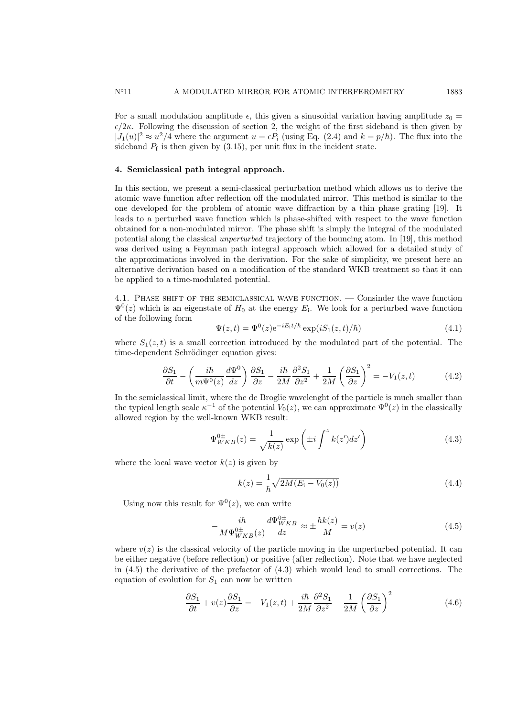For a small modulation amplitude  $\epsilon$ , this given a sinusoidal variation having amplitude  $z_0 =$  $\epsilon/2\kappa$ . Following the discussion of section 2, the weight of the first sideband is then given by  $|J_1(u)|^2 \approx u^2/4$  where the argument  $u = \epsilon P_i$  (using Eq. (2.4) and  $k = p/\hbar$ ). The flux into the sideband  $P_f$  is then given by  $(3.15)$ , per unit flux in the incident state.

### 4. Semiclassical path integral approach.

In this section, we present a semi-classical perturbation method which allows us to derive the atomic wave function after reflection off the modulated mirror. This method is similar to the one developed for the problem of atomic wave diffraction by a thin phase grating [19]. It leads to a perturbed wave function which is phase-shifted with respect to the wave function obtained for a non-modulated mirror. The phase shift is simply the integral of the modulated potential along the classical unperturbed trajectory of the bouncing atom. In [19], this method was derived using a Feynman path integral approach which allowed for a detailed study of the approximations involved in the derivation. For the sake of simplicity, we present here an alternative derivation based on a modification of the standard WKB treatment so that it can be applied to a time-modulated potential.

4.1. Phase shift of the semiclassical wave function. — Consinder the wave function  $\Psi^0(z)$  which is an eigenstate of  $H_0$  at the energy  $E_i$ . We look for a perturbed wave function of the following form

$$
\Psi(z,t) = \Psi^0(z) e^{-iE_1 t/\hbar} \exp(iS_1(z,t)/\hbar)
$$
\n(4.1)

where  $S_1(z,t)$  is a small correction introduced by the modulated part of the potential. The time-dependent Schrödinger equation gives:

$$
\frac{\partial S_1}{\partial t} - \left(\frac{i\hbar}{m\Psi^0(z)}\frac{d\Psi^0}{dz}\right)\frac{\partial S_1}{\partial z} - \frac{i\hbar}{2M}\frac{\partial^2 S_1}{\partial z^2} + \frac{1}{2M}\left(\frac{\partial S_1}{\partial z}\right)^2 = -V_1(z,t) \tag{4.2}
$$

In the semiclassical limit, where the de Broglie wavelenght of the particle is much smaller than the typical length scale  $\kappa^{-1}$  of the potential  $V_0(z)$ , we can approximate  $\Psi^0(z)$  in the classically allowed region by the well-known WKB result:

$$
\Psi_{WKB}^{0\pm}(z) = \frac{1}{\sqrt{k(z)}} \exp\left(\pm i \int^z k(z')dz'\right)
$$
\n(4.3)

where the local wave vector  $k(z)$  is given by

$$
k(z) = \frac{1}{\hbar} \sqrt{2M(E_{\rm i} - V_0(z))}
$$
\n(4.4)

Using now this result for  $\Psi^0(z)$ , we can write

$$
-\frac{i\hbar}{M\Psi_{WKB}^{0\pm}(z)}\frac{d\Psi_{WKB}^{0\pm}}{dz} \approx \pm \frac{\hbar k(z)}{M} = v(z)
$$
\n(4.5)

where  $v(z)$  is the classical velocity of the particle moving in the unperturbed potential. It can be either negative (before reflection) or positive (after reflection). Note that we have neglected in  $(4.5)$  the derivative of the prefactor of  $(4.3)$  which would lead to small corrections. The equation of evolution for  $S_1$  can now be written

$$
\frac{\partial S_1}{\partial t} + v(z)\frac{\partial S_1}{\partial z} = -V_1(z,t) + \frac{i\hbar}{2M}\frac{\partial^2 S_1}{\partial z^2} - \frac{1}{2M}\left(\frac{\partial S_1}{\partial z}\right)^2\tag{4.6}
$$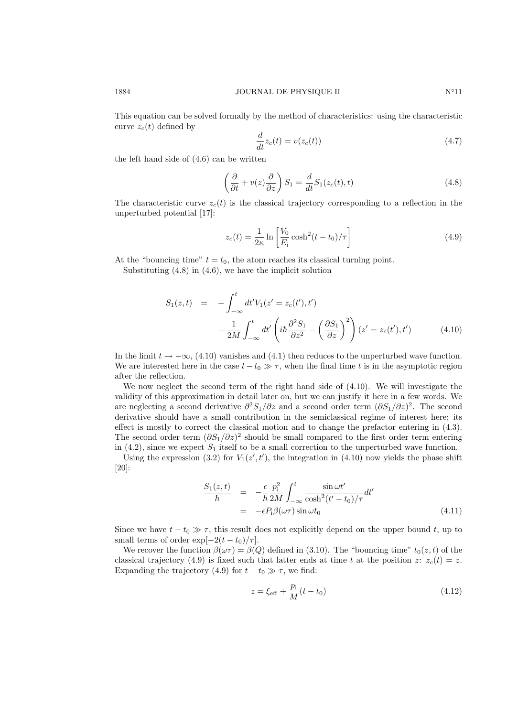This equation can be solved formally by the method of characteristics: using the characteristic curve  $z_c(t)$  defined by

$$
\frac{d}{dt}z_c(t) = v(z_c(t))
$$
\n(4.7)

the left hand side of (4.6) can be written

$$
\left(\frac{\partial}{\partial t} + v(z)\frac{\partial}{\partial z}\right)S_1 = \frac{d}{dt}S_1(z_c(t), t)
$$
\n(4.8)

The characteristic curve  $z_c(t)$  is the classical trajectory corresponding to a reflection in the unperturbed potential [17]:

$$
z_c(t) = \frac{1}{2\kappa} \ln \left[ \frac{V_0}{E_i} \cosh^2(t - t_0)/\tau \right]
$$
\n(4.9)

At the "bouncing time"  $t = t_0$ , the atom reaches its classical turning point.

Substituting (4.8) in (4.6), we have the implicit solution

$$
S_1(z,t) = -\int_{-\infty}^t dt' V_1(z' = z_c(t'), t')
$$
  
+ 
$$
\frac{1}{2M} \int_{-\infty}^t dt' \left( i\hbar \frac{\partial^2 S_1}{\partial z^2} - \left( \frac{\partial S_1}{\partial z} \right)^2 \right) (z' = z_c(t'), t')
$$
(4.10)

In the limit  $t \to -\infty$ , (4.10) vanishes and (4.1) then reduces to the unperturbed wave function. We are interested here in the case  $t - t_0 \gg \tau$ , when the final time t is in the asymptotic region after the reflection.

We now neglect the second term of the right hand side of (4.10). We will investigate the validity of this approximation in detail later on, but we can justify it here in a few words. We are neglecting a second derivative  $\partial^2 S_1/\partial z$  and a second order term  $(\partial S_1/\partial z)^2$ . The second derivative should have a small contribution in the semiclassical regime of interest here; its effect is mostly to correct the classical motion and to change the prefactor entering in (4.3). The second order term  $(\partial S_1/\partial z)^2$  should be small compared to the first order term entering in (4.2), since we expect  $S_1$  itself to be a small correction to the unperturbed wave function.

Using the expression (3.2) for  $V_1(z', t')$ , the integration in (4.10) now yields the phase shift [20]:

$$
\frac{S_1(z,t)}{\hbar} = -\frac{\epsilon}{\hbar} \frac{p_i^2}{2M} \int_{-\infty}^t \frac{\sin \omega t'}{\cosh^2(t'-t_0)/\tau} dt'
$$
  
= 
$$
-\epsilon P_i \beta(\omega \tau) \sin \omega t_0
$$
(4.11)

Since we have  $t - t_0 \gg \tau$ , this result does not explicitly depend on the upper bound t, up to small terms of order  $\exp[-2(t - t_0)/\tau]$ .

We recover the function  $\beta(\omega \tau) = \beta(Q)$  defined in (3.10). The "bouncing time"  $t_0(z, t)$  of the classical trajectory (4.9) is fixed such that latter ends at time t at the position z:  $z_c(t) = z$ . Expanding the trajectory (4.9) for  $t - t_0 \gg \tau$ , we find:

$$
z = \xi_{\text{eff}} + \frac{p_i}{M}(t - t_0)
$$
\n(4.12)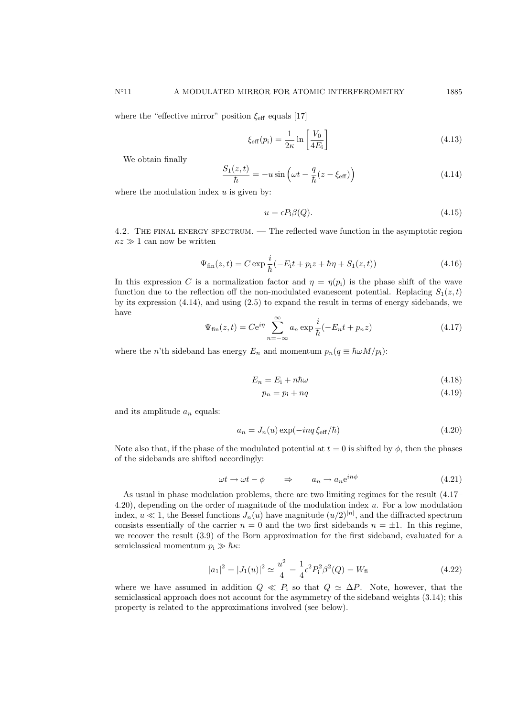where the "effective mirror" position  $\xi_{\text{eff}}$  equals [17]

$$
\xi_{\text{eff}}(p_i) = \frac{1}{2\kappa} \ln \left[ \frac{V_0}{4E_i} \right]
$$
\n(4.13)

We obtain finally

$$
\frac{S_1(z,t)}{\hbar} = -u\sin\left(\omega t - \frac{q}{\hbar}(z - \xi_{\text{eff}})\right)
$$
\n(4.14)

where the modulation index  $u$  is given by:

$$
u = \epsilon P_{i}\beta(Q). \tag{4.15}
$$

4.2. The final energy spectrum. — The reflected wave function in the asymptotic region  $\kappa z \gg 1$  can now be written

$$
\Psi_{\text{fin}}(z,t) = C \exp \frac{i}{\hbar}(-E_{\text{i}}t + p_{\text{i}}z + \hbar \eta + S_{1}(z,t))
$$
\n(4.16)

In this expression C is a normalization factor and  $\eta = \eta(p_i)$  is the phase shift of the wave function due to the reflection off the non-modulated evanescent potential. Replacing  $S_1(z,t)$ by its expression (4.14), and using (2.5) to expand the result in terms of energy sidebands, we have

$$
\Psi_{\text{fin}}(z,t) = Ce^{i\eta} \sum_{n=-\infty}^{\infty} a_n \exp \frac{i}{\hbar}(-E_n t + p_n z)
$$
\n(4.17)

where the n'th sideband has energy  $E_n$  and momentum  $p_n(q \equiv \hbar \omega M/p_i)$ :

$$
E_n = E_i + n\hbar\omega\tag{4.18}
$$

$$
p_n = p_i + nq \tag{4.19}
$$

and its amplitude  $a_n$  equals:

$$
a_n = J_n(u) \exp(-inq \xi_{\text{eff}}/\hbar)
$$
\n(4.20)

Note also that, if the phase of the modulated potential at  $t = 0$  is shifted by  $\phi$ , then the phases of the sidebands are shifted accordingly:

$$
\omega t \to \omega t - \phi \qquad \Rightarrow \qquad a_n \to a_n e^{in\phi} \tag{4.21}
$$

As usual in phase modulation problems, there are two limiting regimes for the result (4.17– 4.20), depending on the order of magnitude of the modulation index u. For a low modulation index,  $u \ll 1$ , the Bessel functions  $J_n(u)$  have magnitude  $(u/2)^{|n|}$ , and the diffracted spectrum consists essentially of the carrier  $n = 0$  and the two first sidebands  $n = \pm 1$ . In this regime, we recover the result (3.9) of the Born approximation for the first sideband, evaluated for a semiclassical momentum  $p_i \gg \hbar \kappa$ :

$$
|a_1|^2 = |J_1(u)|^2 \simeq \frac{u^2}{4} = \frac{1}{4} \epsilon^2 P_i^2 \beta^2(Q) = W_{\text{fi}}
$$
 (4.22)

where we have assumed in addition  $Q \ll P_i$  so that  $Q \simeq \Delta P$ . Note, however, that the semiclassical approach does not account for the asymmetry of the sideband weights (3.14); this property is related to the approximations involved (see below).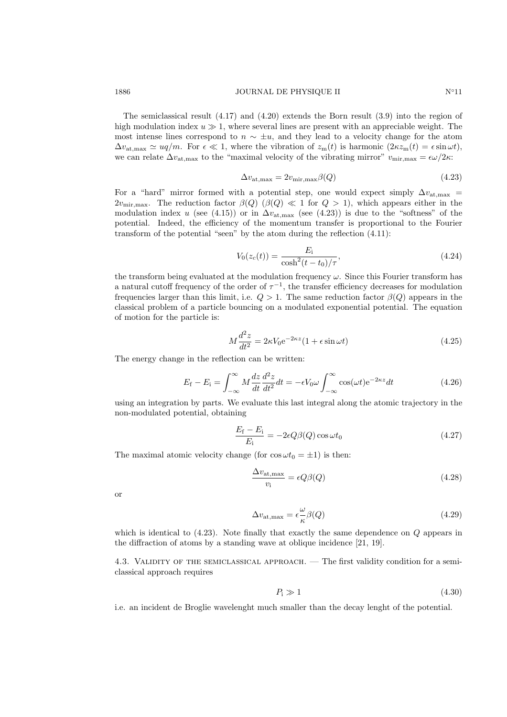The semiclassical result (4.17) and (4.20) extends the Born result (3.9) into the region of high modulation index  $u \geqslant 1$ , where several lines are present with an appreciable weight. The most intense lines correspond to  $n \sim \pm u$ , and they lead to a velocity change for the atom  $\Delta v_{\text{at,max}} \simeq uq/m$ . For  $\epsilon \ll 1$ , where the vibration of  $z_{\text{m}}(t)$  is harmonic  $(2\kappa z_{\text{m}}(t) = \epsilon \sin \omega t)$ , we can relate  $\Delta v_{\text{at,max}}$  to the "maximal velocity of the vibrating mirror"  $v_{\text{mir,max}} = \epsilon \omega / 2\kappa$ :

$$
\Delta v_{\text{at,max}} = 2v_{\text{mir,max}}\beta(Q) \tag{4.23}
$$

For a "hard" mirror formed with a potential step, one would expect simply  $\Delta v_{\text{at,max}}$  $2v_{\text{mir,max}}$ . The reduction factor  $\beta(Q)$  ( $\beta(Q) \ll 1$  for  $Q > 1$ ), which appears either in the modulation index u (see (4.15)) or in  $\Delta v_{\text{at,max}}$  (see (4.23)) is due to the "softness" of the potential. Indeed, the efficiency of the momentum transfer is proportional to the Fourier transform of the potential "seen" by the atom during the reflection (4.11):

$$
V_0(z_c(t)) = \frac{E_i}{\cosh^2(t - t_0)/\tau},
$$
\n(4.24)

the transform being evaluated at the modulation frequency  $\omega$ . Since this Fourier transform has a natural cutoff frequency of the order of  $\tau^{-1}$ , the transfer efficiency decreases for modulation frequencies larger than this limit, i.e.  $Q > 1$ . The same reduction factor  $\beta(Q)$  appears in the classical problem of a particle bouncing on a modulated exponential potential. The equation of motion for the particle is:

$$
M\frac{d^2z}{dt^2} = 2\kappa V_0 e^{-2\kappa z} (1 + \epsilon \sin \omega t)
$$
\n(4.25)

The energy change in the reflection can be written:

$$
E_{\rm f} - E_{\rm i} = \int_{-\infty}^{\infty} M \frac{dz}{dt} \frac{d^2 z}{dt^2} dt = -\epsilon V_0 \omega \int_{-\infty}^{\infty} \cos(\omega t) e^{-2\kappa z} dt \qquad (4.26)
$$

using an integration by parts. We evaluate this last integral along the atomic trajectory in the non-modulated potential, obtaining

$$
\frac{E_{\rm f} - E_{\rm i}}{E_{\rm i}} = -2\epsilon Q\beta(Q)\cos\omega t_0\tag{4.27}
$$

The maximal atomic velocity change (for  $\cos \omega t_0 = \pm 1$ ) is then:

$$
\frac{\Delta v_{\text{at,max}}}{v_{\text{i}}} = \epsilon Q \beta(Q) \tag{4.28}
$$

or

$$
\Delta v_{\text{at,max}} = \epsilon \frac{\omega}{\kappa} \beta(Q) \tag{4.29}
$$

which is identical to  $(4.23)$ . Note finally that exactly the same dependence on  $Q$  appears in the diffraction of atoms by a standing wave at oblique incidence [21, 19].

4.3. Validity of the semiclassical approach. — The first validity condition for a semiclassical approach requires

$$
P_{\rm i} \gg 1\tag{4.30}
$$

i.e. an incident de Broglie wavelenght much smaller than the decay lenght of the potential.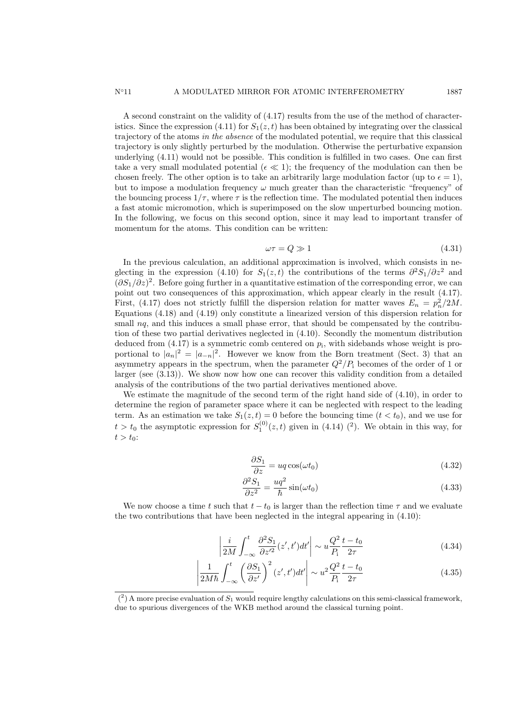A second constraint on the validity of (4.17) results from the use of the method of characteristics. Since the expression (4.11) for  $S_1(z, t)$  has been obtained by integrating over the classical trajectory of the atoms in the absence of the modulated potential, we require that this classical trajectory is only slightly perturbed by the modulation. Otherwise the perturbative expansion underlying (4.11) would not be possible. This condition is fulfilled in two cases. One can first take a very small modulated potential ( $\epsilon \ll 1$ ); the frequency of the modulation can then be chosen freely. The other option is to take an arbitrarily large modulation factor (up to  $\epsilon = 1$ ), but to impose a modulation frequency  $\omega$  much greater than the characteristic "frequency" of the bouncing process  $1/\tau$ , where  $\tau$  is the reflection time. The modulated potential then induces a fast atomic micromotion, which is superimposed on the slow unperturbed bouncing motion. In the following, we focus on this second option, since it may lead to important transfer of momentum for the atoms. This condition can be written:

$$
\omega \tau = Q \gg 1 \tag{4.31}
$$

In the previous calculation, an additional approximation is involved, which consists in neglecting in the expression (4.10) for  $S_1(z,t)$  the contributions of the terms  $\partial^2 S_1/\partial z^2$  and  $(\partial S_1/\partial z)^2$ . Before going further in a quantitative estimation of the corresponding error, we can point out two consequences of this approximation, which appear clearly in the result (4.17). First, (4.17) does not strictly fulfill the dispersion relation for matter waves  $E_n = p_n^2/2M$ . Equations (4.18) and (4.19) only constitute a linearized version of this dispersion relation for small  $nq$ , and this induces a small phase error, that should be compensated by the contribution of these two partial derivatives neglected in (4.10). Secondly the momentum distribution deduced from  $(4.17)$  is a symmetric comb centered on  $p_i$ , with sidebands whose weight is proportional to  $|a_n|^2 = |a_{-n}|^2$ . However we know from the Born treatment (Sect. 3) that an asymmetry appears in the spectrum, when the parameter  $Q^2/P_i$  becomes of the order of 1 or larger (see (3.13)). We show now how one can recover this validity condition from a detailed analysis of the contributions of the two partial derivatives mentioned above.

We estimate the magnitude of the second term of the right hand side of (4.10), in order to determine the region of parameter space where it can be neglected with respect to the leading term. As an estimation we take  $S_1(z,t) = 0$  before the bouncing time  $(t < t_0)$ , and we use for  $t > t_0$  the asymptotic expression for  $S_1^{(0)}(z, t)$  given in (4.14) (<sup>2</sup>). We obtain in this way, for  $t > t_0$ :

$$
\frac{\partial S_1}{\partial z} = uq \cos(\omega t_0) \tag{4.32}
$$

$$
\frac{\partial^2 S_1}{\partial z^2} = \frac{uq^2}{\hbar} \sin(\omega t_0) \tag{4.33}
$$

We now choose a time t such that  $t - t_0$  is larger than the reflection time  $\tau$  and we evaluate the two contributions that have been neglected in the integral appearing in (4.10):

$$
\left| \frac{i}{2M} \int_{-\infty}^{t} \frac{\partial^2 S_1}{\partial z'^2} (z', t') dt' \right| \sim u \frac{Q^2}{P_1} \frac{t - t_0}{2\tau}
$$
\n(4.34)

$$
\left| \frac{1}{2M\hbar} \int_{-\infty}^{t} \left( \frac{\partial S_1}{\partial z'} \right)^2 (z', t') dt' \right| \sim u^2 \frac{Q^2}{P_1} \frac{t - t_0}{2\tau}
$$
\n(4.35)

 $(2)$  A more precise evaluation of  $S_1$  would require lengthy calculations on this semi-classical framework, due to spurious divergences of the WKB method around the classical turning point.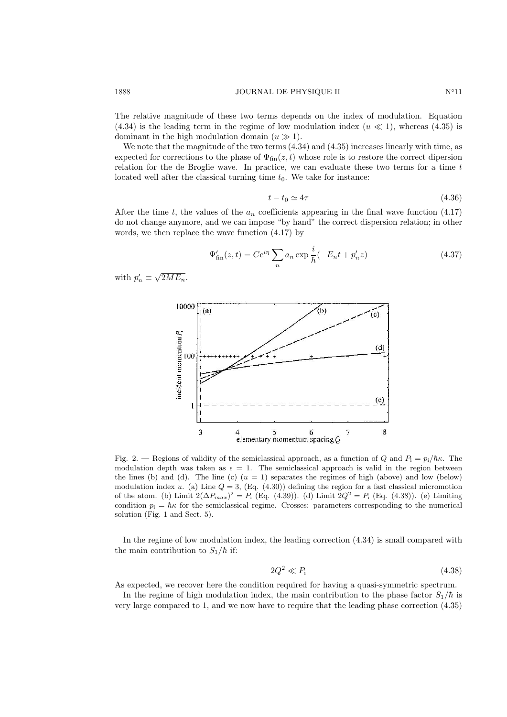The relative magnitude of these two terms depends on the index of modulation. Equation  $(4.34)$  is the leading term in the regime of low modulation index  $(u \ll 1)$ , whereas  $(4.35)$  is dominant in the high modulation domain  $(u \gg 1)$ .

We note that the magnitude of the two terms  $(4.34)$  and  $(4.35)$  increases linearly with time, as expected for corrections to the phase of  $\Psi_{fin}(z, t)$  whose role is to restore the correct dipersion relation for the de Broglie wave. In practice, we can evaluate these two terms for a time  $t$ located well after the classical turning time  $t_0$ . We take for instance:

$$
t - t_0 \simeq 4\tau \tag{4.36}
$$

After the time t, the values of the  $a_n$  coefficients appearing in the final wave function (4.17) do not change anymore, and we can impose "by hand" the correct dispersion relation; in other words, we then replace the wave function (4.17) by

$$
\Psi'_{\text{fin}}(z,t) = Ce^{i\eta} \sum_{n} a_n \exp \frac{i}{\hbar} (-E_n t + p'_n z)
$$
\n(4.37)

with  $p'_n \equiv \sqrt{\ }$  $2ME_n$ .



Fig. 2. — Regions of validity of the semiclassical approach, as a function of Q and  $P_i = p_i/\hbar\kappa$ . The modulation depth was taken as  $\epsilon = 1$ . The semiclassical approach is valid in the region between the lines (b) and (d). The line (c)  $(u = 1)$  separates the regimes of high (above) and low (below) modulation index u. (a) Line  $Q = 3$ , (Eq. (4.30)) defining the region for a fast classical micromotion of the atom. (b) Limit  $2(\Delta P_{max})^2 = P_i$  (Eq. (4.39)). (d) Limit  $2Q^2 = P_i$  (Eq. (4.38)). (e) Limiting condition  $p_i = \hbar \kappa$  for the semiclassical regime. Crosses: parameters corresponding to the numerical solution (Fig. 1 and Sect. 5).

In the regime of low modulation index, the leading correction (4.34) is small compared with the main contribution to  $S_1/\hbar$  if:

$$
2Q^2 \ll P_1 \tag{4.38}
$$

As expected, we recover here the condition required for having a quasi-symmetric spectrum.

In the regime of high modulation index, the main contribution to the phase factor  $S_1/\hbar$  is very large compared to 1, and we now have to require that the leading phase correction (4.35)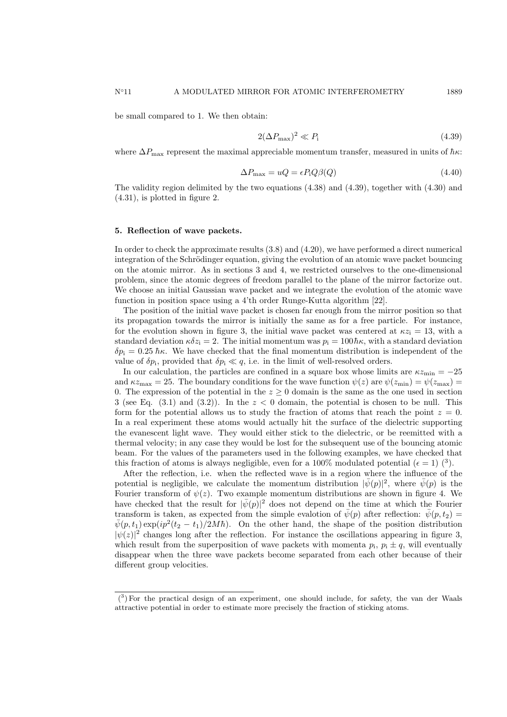$$
2(\Delta P_{\text{max}})^2 \ll P_i \tag{4.39}
$$

where  $\Delta P_{\text{max}}$  represent the maximal appreciable momentum transfer, measured in units of  $\hbar \kappa$ :

$$
\Delta P_{\text{max}} = uQ = \epsilon P_{\text{i}} Q \beta(Q) \tag{4.40}
$$

The validity region delimited by the two equations (4.38) and (4.39), together with (4.30) and (4.31), is plotted in figure 2.

#### 5. Reflection of wave packets.

In order to check the approximate results (3.8) and (4.20), we have performed a direct numerical integration of the Schrödinger equation, giving the evolution of an atomic wave packet bouncing on the atomic mirror. As in sections 3 and 4, we restricted ourselves to the one-dimensional problem, since the atomic degrees of freedom parallel to the plane of the mirror factorize out. We choose an initial Gaussian wave packet and we integrate the evolution of the atomic wave function in position space using a 4'th order Runge-Kutta algorithm [22].

The position of the initial wave packet is chosen far enough from the mirror position so that its propagation towards the mirror is initially the same as for a free particle. For instance, for the evolution shown in figure 3, the initial wave packet was centered at  $\kappa z_i = 13$ , with a standard deviation  $\kappa \delta z_i = 2$ . The initial momentum was  $p_i = 100\hbar\kappa$ , with a standard deviation  $\delta p_i = 0.25 \hbar \kappa$ . We have checked that the final momentum distribution is independent of the value of  $\delta p_i$ , provided that  $\delta p_i \ll q$ , i.e. in the limit of well-resolved orders.

In our calculation, the particles are confined in a square box whose limits are  $\kappa z_{\rm min} = -25$ and  $\kappa z_{\text{max}} = 25$ . The boundary conditions for the wave function  $\psi(z)$  are  $\psi(z_{\text{min}}) = \psi(z_{\text{max}})$ 0. The expression of the potential in the  $z \geq 0$  domain is the same as the one used in section 3 (see Eq.  $(3.1)$  and  $(3.2)$ ). In the  $z < 0$  domain, the potential is chosen to be null. This form for the potential allows us to study the fraction of atoms that reach the point  $z = 0$ . In a real experiment these atoms would actually hit the surface of the dielectric supporting the evanescent light wave. They would either stick to the dielectric, or be reemitted with a thermal velocity; in any case they would be lost for the subsequent use of the bouncing atomic beam. For the values of the parameters used in the following examples, we have checked that this fraction of atoms is always negligible, even for a 100% modulated potential ( $\epsilon = 1$ ) (<sup>3</sup>).

After the reflection, i.e. when the reflected wave is in a region where the influence of the potential is negligible, we calculate the momentum distribution  $|\bar{\psi}(p)|^2$ , where  $\bar{\psi}(p)$  is the Fourier transform of  $\psi(z)$ . Two example momentum distributions are shown in figure 4. We have checked that the result for  $|\bar{\psi}(p)|^2$  does not depend on the time at which the Fourier transform is taken, as expected from the simple evalotion of  $\bar{\psi}(p)$  after reflection:  $\bar{\psi}(p, t_2)$  $\bar{\psi}(p,t_1) \exp(ip^2(t_2-t_1)/2M\hbar)$ . On the other hand, the shape of the position distribution  $|\psi(z)|^2$  changes long after the reflection. For instance the oscillations appearing in figure 3, which result from the superposition of wave packets with momenta  $p_i$ ,  $p_i \pm q$ , will eventually disappear when the three wave packets become separated from each other because of their different group velocities.

<sup>(</sup> 3 ) For the practical design of an experiment, one should include, for safety, the van der Waals attractive potential in order to estimate more precisely the fraction of sticking atoms.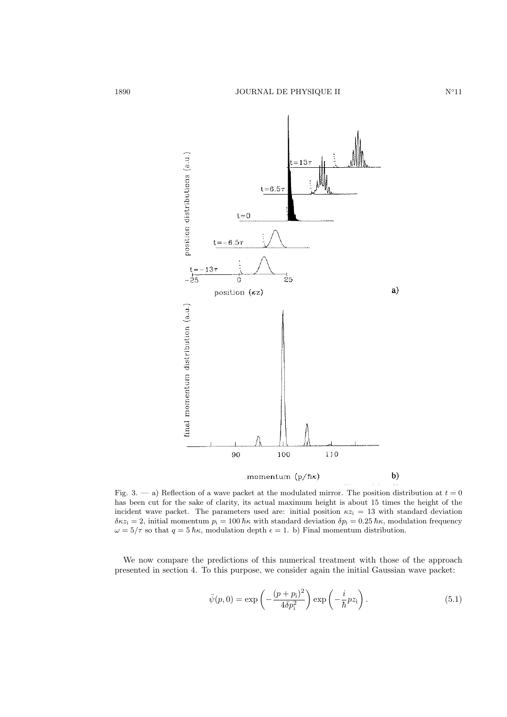

Fig. 3. — a) Reflection of a wave packet at the modulated mirror. The position distribution at  $t = 0$ has been cut for the sake of clarity, its actual maximum height is about 15 times the height of the incident wave packet. The parameters used are: initial position  $\kappa z_i = 13$  with standard deviation  $\delta \kappa z_i = 2$ , initial momentum  $p_i = 100 \hbar \kappa$  with standard deviation  $\delta p_i = 0.25 \hbar \kappa$ , modulation frequency  $\omega = 5/\tau$  so that  $q = 5 \hbar \kappa$ , modulation depth  $\epsilon = 1$ . b) Final momentum distribution.

We now compare the predictions of this numerical treatment with those of the approach presented in section 4. To this purpose, we consider again the initial Gaussian wave packet:

$$
\bar{\psi}(p,0) = \exp\left(-\frac{(p+p_i)^2}{4\delta p_i^2}\right) \exp\left(-\frac{i}{\hbar}pz_i\right). \tag{5.1}
$$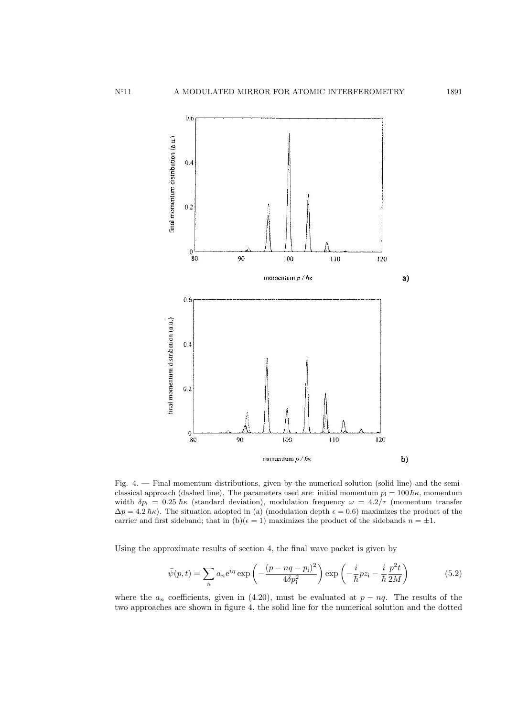

Fig. 4. — Final momentum distributions, given by the numerical solution (solid line) and the semiclassical approach (dashed line). The parameters used are: initial momentum  $p_i = 100 \hbar \kappa$ , momentum width  $\delta p_i = 0.25 \hbar \kappa$  (standard deviation), modulation frequency  $\omega = 4.2/\tau$  (momentum transfer  $\Delta p = 4.2 \hbar \kappa$ ). The situation adopted in (a) (modulation depth  $\epsilon = 0.6$ ) maximizes the product of the carrier and first sideband; that in  $(b)(\epsilon = 1)$  maximizes the product of the sidebands  $n = \pm 1$ .

Using the approximate results of section 4, the final wave packet is given by

$$
\bar{\psi}(p,t) = \sum_{n} a_n e^{i\eta} \exp\left(-\frac{(p-nq-p_i)^2}{4\delta p_i^2}\right) \exp\left(-\frac{i}{\hbar}pz_i - \frac{i}{\hbar}\frac{p^2t}{2M}\right)
$$
(5.2)

where the  $a_n$  coefficients, given in (4.20), must be evaluated at  $p - nq$ . The results of the two approaches are shown in figure 4, the solid line for the numerical solution and the dotted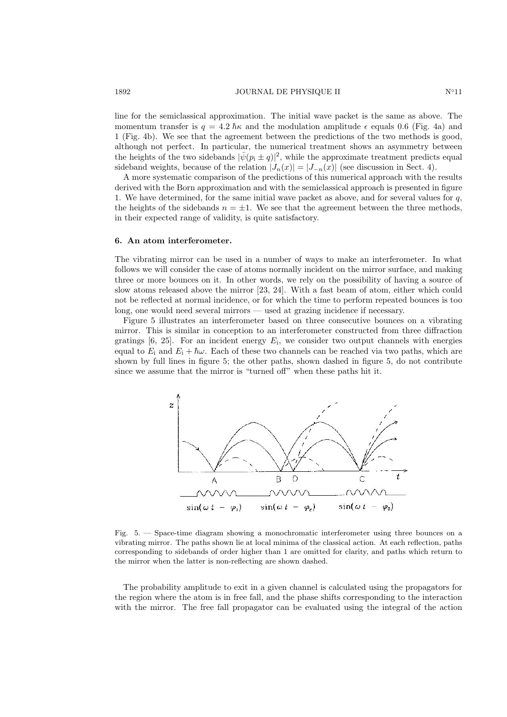### 1892 JOURNAL DE PHYSIQUE II N∘11

line for the semiclassical approximation. The initial wave packet is the same as above. The momentum transfer is  $q = 4.2 \hbar \kappa$  and the modulation amplitude  $\epsilon$  equals 0.6 (Fig. 4a) and 1 (Fig. 4b). We see that the agreement between the predictions of the two methods is good, although not perfect. In particular, the numerical treatment shows an asymmetry between the heights of the two sidebands  $|\bar{\psi}(p_i \pm q)|^2$ , while the approximate treatment predicts equal sideband weights, because of the relation  $|J_n(x)| = |J_{-n}(x)|$  (see discussion in Sect. 4).

A more systematic comparison of the predictions of this numerical approach with the results derived with the Born approximation and with the semiclassical approach is presented in figure 1. We have determined, for the same initial wave packet as above, and for several values for q, the heights of the sidebands  $n = \pm 1$ . We see that the agreement between the three methods, in their expected range of validity, is quite satisfactory.

### 6. An atom interferometer.

The vibrating mirror can be used in a number of ways to make an interferometer. In what follows we will consider the case of atoms normally incident on the mirror surface, and making three or more bounces on it. In other words, we rely on the possibility of having a source of slow atoms released above the mirror [23, 24]. With a fast beam of atom, either which could not be reflected at normal incidence, or for which the time to perform repeated bounces is too long, one would need several mirrors — used at grazing incidence if necessary.

Figure 5 illustrates an interferometer based on three consecutive bounces on a vibrating mirror. This is similar in conception to an interferometer constructed from three diffraction gratings  $[6, 25]$ . For an incident energy  $E_i$ , we consider two output channels with energies equal to  $E_i$  and  $E_i + \hbar \omega$ . Each of these two channels can be reached via two paths, which are shown by full lines in figure 5; the other paths, shown dashed in figure 5, do not contribute since we assume that the mirror is "turned off" when these paths hit it.



Fig. 5. — Space-time diagram showing a monochromatic interferometer using three bounces on a vibrating mirror. The paths shown lie at local minima of the classical action. At each reflection, paths corresponding to sidebands of order higher than 1 are omitted for clarity, and paths which return to the mirror when the latter is non-reflecting are shown dashed.

The probability amplitude to exit in a given channel is calculated using the propagators for the region where the atom is in free fall, and the phase shifts corresponding to the interaction with the mirror. The free fall propagator can be evaluated using the integral of the action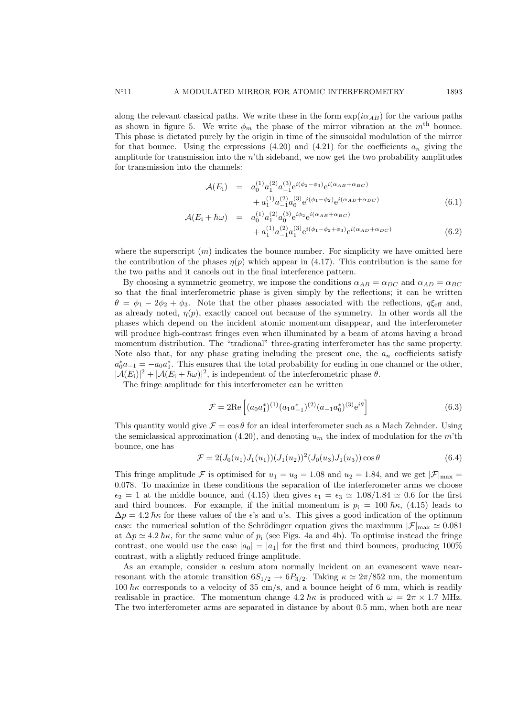along the relevant classical paths. We write these in the form  $\exp(i\alpha_{AB})$  for the various paths as shown in figure 5. We write  $\phi_m$  the phase of the mirror vibration at the m<sup>th</sup> bounce. This phase is dictated purely by the origin in time of the sinusoidal modulation of the mirror for that bounce. Using the expressions  $(4.20)$  and  $(4.21)$  for the coefficients  $a_n$  giving the amplitude for transmission into the  $n<sup>th</sup>$  sideband, we now get the two probability amplitudes for transmission into the channels:

$$
\mathcal{A}(E_{i}) = a_{0}^{(1)} a_{1}^{(2)} a_{-1}^{(3)} e^{i(\phi_{2} - \phi_{3})} e^{i(\alpha_{AB} + \alpha_{BC})} \n+ a_{1}^{(1)} a_{-1}^{(2)} a_{0}^{(3)} e^{i(\phi_{1} - \phi_{2})} e^{i(\alpha_{AD} + \alpha_{DC})}
$$
\n(6.1)

$$
\mathcal{A}(E_{\rm i} + \hbar \omega) = a_0^{(1)} a_1^{(2)} a_0^{(3)} e^{i\phi_2} e^{i(\alpha_{AB} + \alpha_{BC})} \n+ a_1^{(1)} a_{-1}^{(2)} a_1^{(3)} e^{i(\phi_1 - \phi_2 + \phi_3)} e^{i(\alpha_{AD} + \alpha_{DC})}
$$
\n(6.2)

where the superscript  $(m)$  indicates the bounce number. For simplicity we have omitted here the contribution of the phases  $\eta(p)$  which appear in (4.17). This contribution is the same for the two paths and it cancels out in the final interference pattern.

By choosing a symmetric geometry, we impose the conditions  $\alpha_{AB} = \alpha_{DC}$  and  $\alpha_{AD} = \alpha_{BC}$ so that the final interferometric phase is given simply by the reflections; it can be written  $\theta = \phi_1 - 2\phi_2 + \phi_3$ . Note that the other phases associated with the reflections,  $q\xi_{\text{eff}}$  and, as already noted,  $\eta(p)$ , exactly cancel out because of the symmetry. In other words all the phases which depend on the incident atomic momentum disappear, and the interferometer will produce high-contrast fringes even when illuminated by a beam of atoms having a broad momentum distribution. The "tradional" three-grating interferometer has the same property. Note also that, for any phase grating including the present one, the  $a_n$  coefficients satisfy  $a_0^* a_{-1} = -a_0 a_1^*$ . This ensures that the total probability for ending in one channel or the other,  $|\mathcal{A}(E_i)|^2 + |\mathcal{A}(E_i + \hbar \omega)|^2$ , is independent of the interferometric phase  $\theta$ .

The fringe amplitude for this interferometer can be written

$$
\mathcal{F} = 2\text{Re}\left[ (a_0 a_1^*)^{(1)} (a_1 a_{-1}^*)^{(2)} (a_{-1} a_0^*)^{(3)} e^{i\theta} \right]
$$
(6.3)

This quantity would give  $\mathcal{F} = \cos \theta$  for an ideal interferometer such as a Mach Zehnder. Using the semiclassical approximation (4.20), and denoting  $u_m$  the index of modulation for the m'th bounce, one has

$$
\mathcal{F} = 2(J_0(u_1)J_1(u_1))(J_1(u_2))^2(J_0(u_3)J_1(u_3))\cos\theta \tag{6.4}
$$

This fringe amplitude F is optimised for  $u_1 = u_3 = 1.08$  and  $u_2 = 1.84$ , and we get  $|\mathcal{F}|_{\text{max}} =$ 0.078. To maximize in these conditions the separation of the interferometer arms we choose  $\epsilon_2 = 1$  at the middle bounce, and (4.15) then gives  $\epsilon_1 = \epsilon_3 \simeq 1.08/1.84 \simeq 0.6$  for the first and third bounces. For example, if the initial momentum is  $p_i = 100 \hbar \kappa$ , (4.15) leads to  $\Delta p = 4.2 \hbar \kappa$  for these values of the  $\epsilon$ 's and u's. This gives a good indication of the optimum case: the numerical solution of the Schrödinger equation gives the maximum  $|\mathcal{F}|_{\text{max}} \simeq 0.081$ at  $\Delta p \simeq 4.2 \hbar \kappa$ , for the same value of  $p_i$  (see Figs. 4a and 4b). To optimise instead the fringe contrast, one would use the case  $|a_0| = |a_1|$  for the first and third bounces, producing 100% contrast, with a slightly reduced fringe amplitude.

As an example, consider a cesium atom normally incident on an evanescent wave nearresonant with the atomic transition  $6S_{1/2} \rightarrow 6P_{3/2}$ . Taking  $\kappa \simeq 2\pi/852$  nm, the momentum 100  $\hbar\kappa$  corresponds to a velocity of 35 cm/s, and a bounce height of 6 mm, which is readily realisable in practice. The momentum change  $4.2 \hbar \kappa$  is produced with  $\omega = 2\pi \times 1.7$  MHz. The two interferometer arms are separated in distance by about 0.5 mm, when both are near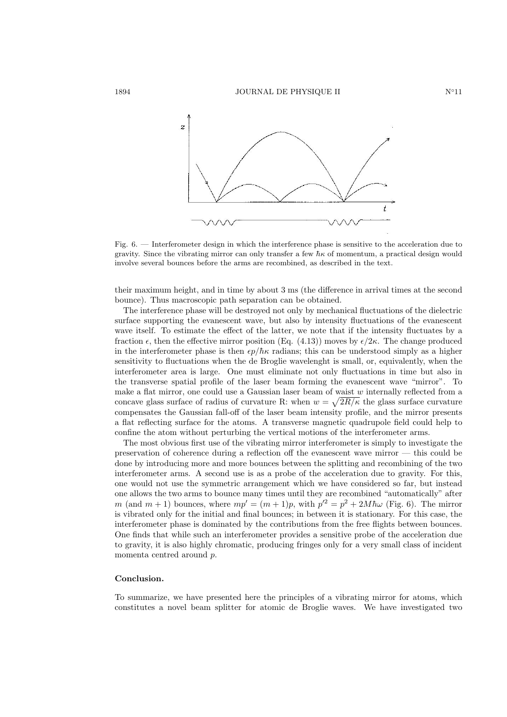

Fig. 6. — Interferometer design in which the interference phase is sensitive to the acceleration due to gravity. Since the vibrating mirror can only transfer a few  $\hbar \kappa$  of momentum, a practical design would involve several bounces before the arms are recombined, as described in the text.

their maximum height, and in time by about 3 ms (the difference in arrival times at the second bounce). Thus macroscopic path separation can be obtained.

The interference phase will be destroyed not only by mechanical fluctuations of the dielectric surface supporting the evanescent wave, but also by intensity fluctuations of the evanescent wave itself. To estimate the effect of the latter, we note that if the intensity fluctuates by a fraction  $\epsilon$ , then the effective mirror position (Eq. (4.13)) moves by  $\epsilon/2\kappa$ . The change produced in the interferometer phase is then  $\epsilon p/\hbar \kappa$  radians; this can be understood simply as a higher sensitivity to fluctuations when the de Broglie wavelenght is small, or, equivalently, when the interferometer area is large. One must eliminate not only fluctuations in time but also in the transverse spatial profile of the laser beam forming the evanescent wave "mirror". To make a flat mirror, one could use a Gaussian laser beam of waist w internally reflected from a concave glass surface of radius of curvature R: when  $w = \sqrt{2R/\kappa}$  the glass surface curvature compensates the Gaussian fall-off of the laser beam intensity profile, and the mirror presents a flat reflecting surface for the atoms. A transverse magnetic quadrupole field could help to confine the atom without perturbing the vertical motions of the interferometer arms.

The most obvious first use of the vibrating mirror interferometer is simply to investigate the preservation of coherence during a reflection off the evanescent wave mirror — this could be done by introducing more and more bounces between the splitting and recombining of the two interferometer arms. A second use is as a probe of the acceleration due to gravity. For this, one would not use the symmetric arrangement which we have considered so far, but instead one allows the two arms to bounce many times until they are recombined "automatically" after m (and  $m + 1$ ) bounces, where  $mp' = (m + 1)p$ , with  $p'^2 = p^2 + 2M\hbar\omega$  (Fig. 6). The mirror is vibrated only for the initial and final bounces; in between it is stationary. For this case, the interferometer phase is dominated by the contributions from the free flights between bounces. One finds that while such an interferometer provides a sensitive probe of the acceleration due to gravity, it is also highly chromatic, producing fringes only for a very small class of incident momenta centred around p.

### Conclusion.

To summarize, we have presented here the principles of a vibrating mirror for atoms, which constitutes a novel beam splitter for atomic de Broglie waves. We have investigated two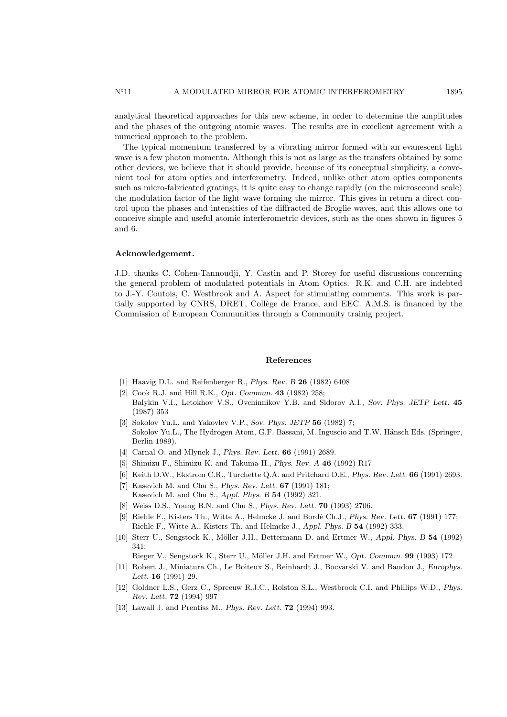analytical theoretical approaches for this new scheme, in order to determine the amplitudes and the phases of the outgoing atomic waves. The results are in excellent agreement with a numerical approach to the problem.

The typical momentum transferred by a vibrating mirror formed with an evanescent light wave is a few photon momenta. Although this is not as large as the transfers obtained by some other devices, we believe that it should provide, because of its conceptual simplicity, a convenient tool for atom optics and interferometry. Indeed, unlike other atom optics components such as micro-fabricated gratings, it is quite easy to change rapidly (on the microsecond scale) the modulation factor of the light wave forming the mirror. This gives in return a direct control upon the phases and intensities of the diffracted de Broglie waves, and this allows one to conceive simple and useful atomic interferometric devices, such as the ones shown in figures 5 and 6.

#### Acknowledgement.

J.D. thanks C. Cohen-Tannoudji, Y. Castin and P. Storey for useful discussions concerning the general problem of modulated potentials in Atom Optics. R.K. and C.H. are indebted to J.-Y. Coutois, C. Westbrook and A. Aspect for stimulating comments. This work is partially supported by CNRS, DRET, Collège de France, and EEC. A.M.S. is financed by the Commission of European Communities through a Community trainig project.

### References

- [1] Haavig D.L. and Reifenberger R., Phys. Rev. B 26 (1982) 6408
- [2] Cook R.J. and Hill R.K., Opt. Commun. 43 (1982) 258; Balykin V.I., Letokhov V.S., Ovchinnikov Y.B. and Sidorov A.I., Sov. Phys. JETP Lett. 45 (1987) 353
- [3] Sokolov Yu.L. and Yakovlev V.P., Sov. Phys. JETP 56 (1982) 7; Sokolov Yu.L., The Hydrogen Atom, G.F. Bassani, M. Inguscio and T.W. Hänsch Eds. (Springer, Berlin 1989).
- [4] Carnal O. and Mlynek J., *Phys. Rev. Lett.* **66** (1991) 2689.
- [5] Shimizu F., Shimizu K. and Takuma H., Phys. Rev. A 46 (1992) R17
- [6] Keith D.W., Ekstrom C.R., Turchette Q.A. and Pritchard D.E., Phys. Rev. Lett. 66 (1991) 2693.
- [7] Kasevich M. and Chu S., *Phys. Rev. Lett.* **67** (1991) 181:
- Kasevich M. and Chu S., Appl. Phys. B 54 (1992) 321.
- [8] Weiss D.S., Young B.N. and Chu S., Phys. Rev. Lett. 70 (1993) 2706.
- [9] Riehle F., Kisters Th., Witte A., Helmcke J. and Bordé Ch.J., Phys. Rev. Lett. 67 (1991) 177; Riehle F., Witte A., Kisters Th. and Helmcke J., Appl. Phys. B 54 (1992) 333.
- [10] Sterr U., Sengstock K., Möller J.H., Bettermann D. and Ertmer W., Appl. Phys. B 54 (1992) 341;

Rieger V., Sengstock K., Sterr U., Möller J.H. and Ertmer W., Opt. Commun. 99 (1993) 172

- [11] Robert J., Miniatura Ch., Le Boiteux S., Reinhardt J., Bocvarski V. and Baudon J., Europhys. Lett. 16 (1991) 29.
- [12] Goldner L.S., Gerz C., Spreeuw R.J.C., Rolston S.L., Westbrook C.I. and Phillips W.D., Phys. Rev. Lett. 72 (1994) 997
- [13] Lawall J. and Prentiss M., *Phys. Rev. Lett.* **72** (1994) 993.